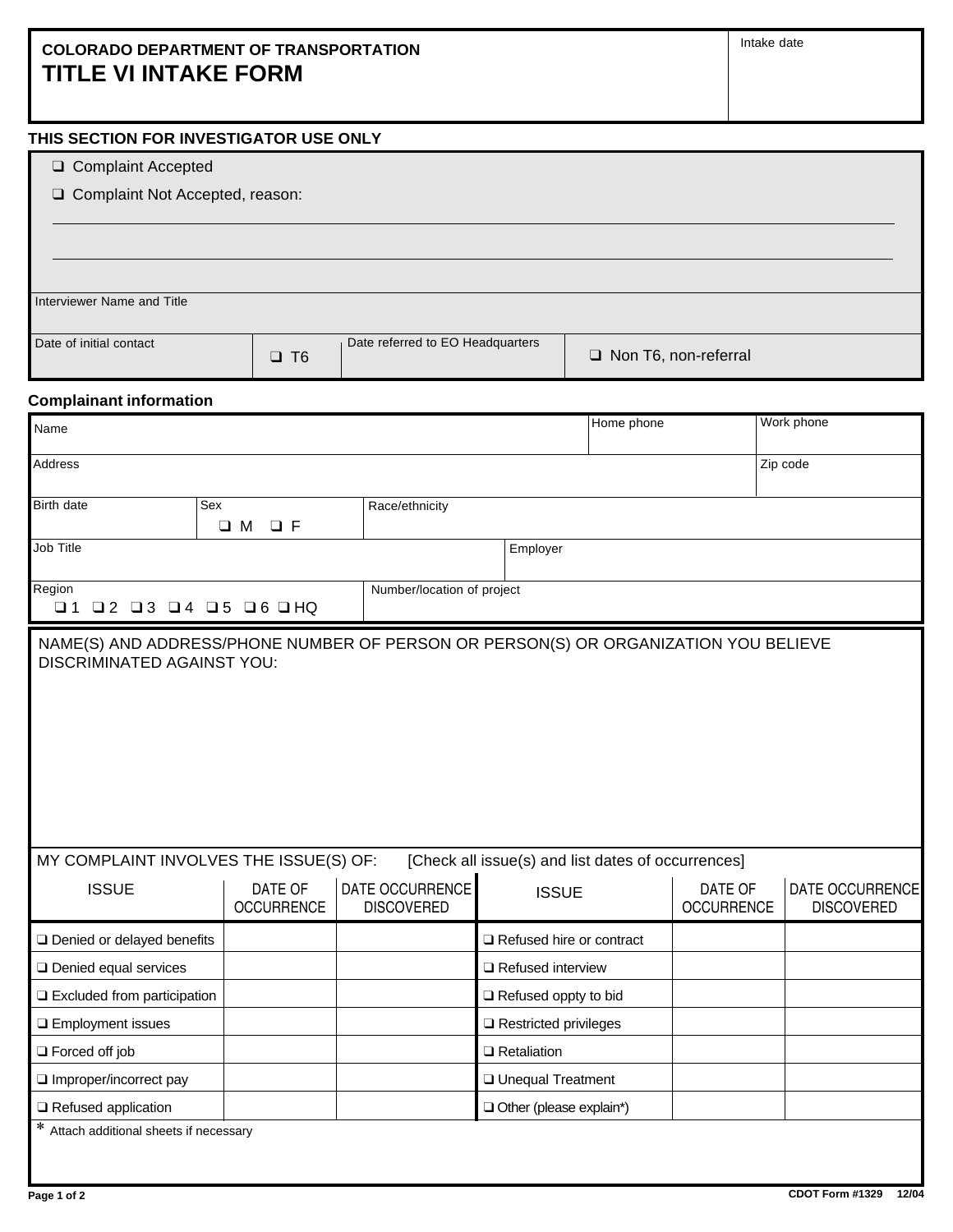## **COLORADO DEPARTMENT OF TRANSPORTATION TITLE VI INTAKE FORM**

## **THIS SECTION FOR INVESTIGATOR USE ONLY**

- T Complaint Accepted
- □ Complaint Not Accepted, reason:

Interviewer Name and Title Date of initial contact  $\square$  T6 Date referred to EO Headquarters <br> **Q** Non T6, non-referral

## **Complainant information**

| Name                                                                                                                                                                                                                     |                                      |                                      | Home phone               |                              | Work phone                           |  |  |
|--------------------------------------------------------------------------------------------------------------------------------------------------------------------------------------------------------------------------|--------------------------------------|--------------------------------------|--------------------------|------------------------------|--------------------------------------|--|--|
| Address                                                                                                                                                                                                                  |                                      |                                      |                          |                              | Zip code                             |  |  |
| Birth date                                                                                                                                                                                                               | Sex                                  | Race/ethnicity                       |                          |                              |                                      |  |  |
|                                                                                                                                                                                                                          | $\square$ M<br>$\Box$ F              |                                      |                          |                              |                                      |  |  |
| Job Title                                                                                                                                                                                                                |                                      |                                      | Employer                 |                              |                                      |  |  |
| Region<br>$\Box$ 1                                                                                                                                                                                                       | $Q$ 2 $Q$ 3 $Q$ 4 $Q$ 5 $Q$ 6 $Q$ HQ | Number/location of project           |                          |                              |                                      |  |  |
| NAME(S) AND ADDRESS/PHONE NUMBER OF PERSON OR PERSON(S) OR ORGANIZATION YOU BELIEVE<br><b>DISCRIMINATED AGAINST YOU:</b><br>MY COMPLAINT INVOLVES THE ISSUE(S) OF:<br>[Check all issue(s) and list dates of occurrences] |                                      |                                      |                          |                              |                                      |  |  |
| <b>ISSUE</b>                                                                                                                                                                                                             | DATE OF<br><b>OCCURRENCE</b>         | DATE OCCURRENCE<br><b>DISCOVERED</b> | <b>ISSUE</b>             | DATE OF<br><b>OCCURRENCE</b> | DATE OCCURRENCE<br><b>DISCOVERED</b> |  |  |
| □ Denied or delayed benefits                                                                                                                                                                                             |                                      |                                      | Refused hire or contract |                              |                                      |  |  |
| <b>Q</b> Denied equal services                                                                                                                                                                                           |                                      |                                      | Refused interview        |                              |                                      |  |  |
| $\Box$ Excluded from participation                                                                                                                                                                                       |                                      |                                      | Refused oppty to bid     |                              |                                      |  |  |
| <b>Q</b> Employment issues                                                                                                                                                                                               |                                      |                                      | Restricted privileges    |                              |                                      |  |  |
| $\Box$ Forced off job                                                                                                                                                                                                    |                                      |                                      | $\Box$ Retaliation       |                              |                                      |  |  |
| Improper/incorrect pay                                                                                                                                                                                                   |                                      |                                      | <b>Unequal Treatment</b> |                              |                                      |  |  |
| $\Box$ Refused application                                                                                                                                                                                               |                                      |                                      | Other (please explain*)  |                              |                                      |  |  |
| * Attach additional sheets if necessary                                                                                                                                                                                  |                                      |                                      |                          |                              |                                      |  |  |